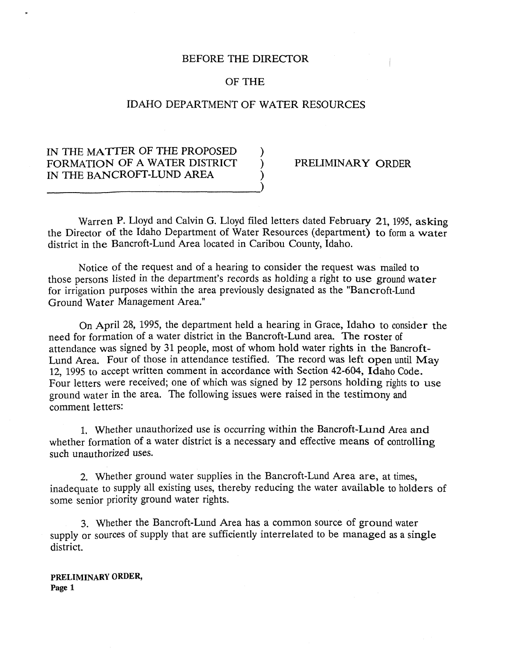### BEFORE THE DIRECTOR

## OF THE

# IDAHO DEPARTMENT OF WATER RESOURCES

# IN THE MATTER OF THE PROPOSED FORMATION OF A WATER DISTRICT  $\overrightarrow{P}$  PRELIMINARY ORDER IN THE BANCROFT-LUND AREA

Warren P. Lloyd and Calvin G. Lloyd filed letters dated February 21, 1995, asking the Director of the Idaho Department of Water Resources (department) to form a water district in the Bancroft-Lund Area located in Caribou County, Idaho.

Notice of the request and of a hearing to consider the request was mailed to those persons listed in the department's records as holding a right to use ground water for irrigation purposes within the area previously designated as the "Bancroft-Lund Ground Water Management Area."

On April 28, 1995, the department held a hearing in Grace, Idaho to consider the need for formation of a water district in the Bancroft-Lund area. The roster of attendance was signed by 31 people, most of whom hold water rights in the Bancroft-Lund Area. Four of those in attendance testified. The record was left open until May 12, 1995 to accept written comment in accordance with Section 42-604, Idaho Code. Four letters were received; one of which was signed by 12 persons holding rights to use ground water in the area. The following issues were raised in the testimony and comment letters:

1. Whether unauthorized use is occurring within the Bancroft-Lund Area and whether formation of a water district is a necessary and effective means of controlling such unauthorized uses.

*2.* Wether ground water supplies in the Bancroft-Lund Area are, at times, inadequate to supply all existing uses, thereby reducing the water available to holders of some senior priority ground water rights.

**3.** Whether the Bancroft-Lund Area has a common source of ground water supply or sources of supply that are sufficiently interrelated to be managed as a single district.

**PRELIMINARY ORDER, Page 1**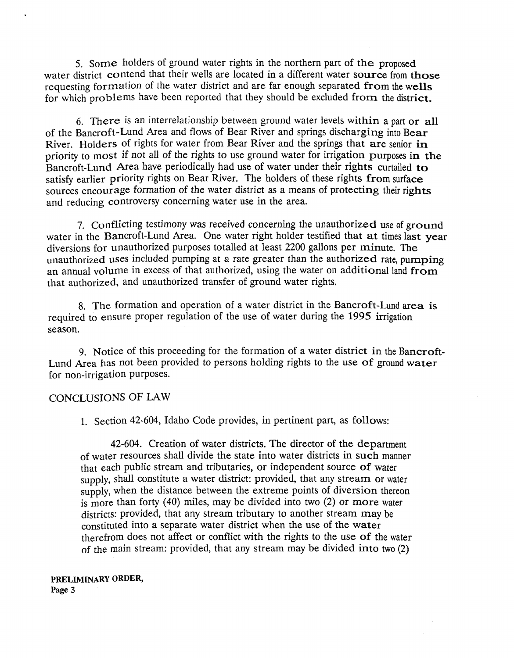*5.* Some holders of ground water rights in the northern part of the proposed water district contend that their wells are located in a different water source from those requesting formation of the water district and are far enough separated from the wells for which problems have been reported that they should be excluded from the district.

6. There is an interrelationship between ground water levels within a part or all of the Bancroft-Lund Area and flows of Bear River and springs discharging into Bear River. Holders of rights for water from Bear River and the springs that are senior **in**  priority to most if not all of the rights to use ground water for irrigation purposes in the Bancroft-Lund Area have periodically had use of water under their rights curtailed to satisfy earlier priority rights on Bear River. The holders of these rights from surface sources encourage formation of the water district as a means of protecting their rights and reducing controversy concerning water use in the area.

**7.** conflicting testimony was received concerning the unauthorized use of **gromd**  water in the Bancroft-Lund Area. One water right holder testified that at times last year diversions for unauthorized purposes totalled at least 2200 gallons per minute. The unauthorized uses included pumping at a rate greater than the authorized rate, pumping an annual volume in excess of that authorized, using the water on additional land from that authorized, and unauthorized transfer of ground water rights.

8. The formation and operation of a water district in the Bancroft-Lund area is required to ensure proper regulation of the use of water during the 1995 irrigation season.

9. Notice of this proceeding for the formation of a water district in the Bancroft-Lund Area has not been provided to persons holding rights to the use of ground water for non-irrigation purposes.

### CONCLUSIONS OF LAW

1. Section 42-604, Idaho Code provides, in pertinent part, as follows:

42-604. Creation of water districts. The director of the department of water resources shall divide the state into water districts in such manner that each public stream and tributaries, or independent source of water supply, shall constitute a water district: provided, that any stream or water supply, when the distance between the extreme points of diversion thereon is more than forty (40) miles, may be divided into two (2) or more water districts: provided, that any stream tributary to another stream may be constituted into a separate water district when the use of the water therefrom does not affect or conflict with the rights to the use of the water of the main stream: provided, that any stream may be divided into two (2)

**PRELIMINARY ORDER, Page 3**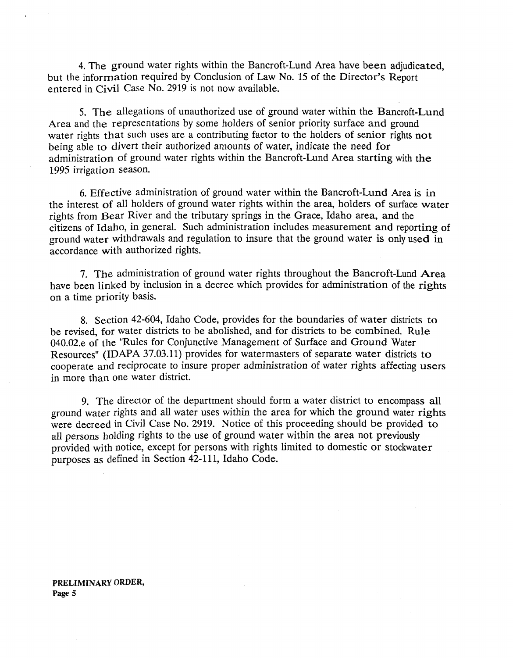4. The ground water rights within the Bancroft-Lund Area have been adjudicated, but the information required by Conclusion of Law No. 15 of the Director's Report entered in Civil Case No. 2919 is not now available.

**5.** The allegations of unauthorized use of ground water within the Bancroft-Lund Area and the representations by some holders of senior priority surface and ground water rights that such uses are a contributing factor to the holders of senior rights not being able to divert their authorized amounts of water, indicate the need for administration of ground water rights within the Bancroft-Lund Area starting with the 1995 irrigation season.

6. Effective administration of ground water within the Bancroft-Lund Area is in the interest of all holders of ground water rights within the area, holders of surface water rights from Bear River and the tributary springs in the Grace, Idaho area, and the citizens of Idaho, in general. Such administration includes measurement and reporting of ground water withdrawals and regulation to insure that the ground water is only used in accordance with authorized rights.

7. The administration of ground water rights throughout the Bancroft-Lund Area have been linked by inclusion in a decree which provides for administration of the rights on a time priority basis.

8. Section 42-604, Idaho Code, provides for the boundaries of water districts to be revised, for water districts to be abolished, and for districts to be combined. Rule 040.02.e of the "Rules for Conjunctive Management of Surface and Ground Water Resources" **(IDAPA** 37.03.11) provides for watermasters of separate water districts to cooperate and reciprocate to insure proper administration of water rights affecting users in more than one water district.

9. The director of the department should form a water district to encompass all ground water rights and all water uses within the area for which the ground water rights were decreed in Civil Case No. 2919. Notice of this proceeding should be provided to all persons holding rights to the use of ground water within the area not previously provided with notice, except for persons with rights limited to domestic or stockwater purposes as defined in Section 42-111, Idaho Code.

**PRELIMINARY ORDER, Page 5**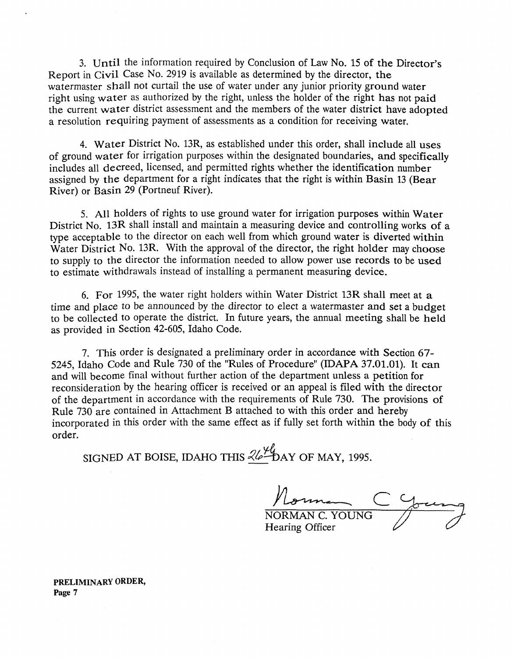3. Until the information required by Conclusion of **Law** No. 15 of the Director's Report in Civil Case No. 2919 is available as determined by the director, the watermaster shall not curtail the use of water under any junior priority ground water right using water as authorized by the right, unless the holder of the right has not paid the current water district assessment and the members of the water district have adopted a resolution requiring payment of assessments as a condition for receiving water.

4. Water District No. 13R, as established under this order, shall include all uses of ground water for irrigation purposes within the designated boundaries, and specifically includes all decreed, licensed, and permitted rights whether the identification number assigned by the department for a right indicates that the right is within Basin 13 (Bear River) or Basin 29 (Portneuf River).

**5.** All holders of rights to use ground water for irrigation purposes within Water District No. 13R shall install and maintain a measuring device and controlling works of a type acceptable to the director on each well from which ground water is diverted within Water District No. 13R. With the approval of the director, the right holder may choose to supply to the director the information needed to allow power use records to be used to estimate withdrawals instead of installing a permanent measuring device.

6. For 1995, the water right holders within Water District 13R shall meet at a time and place to be announced by the director to elect a watermaster and set a budget to be collected to operate the district. In future years, the annual meeting shall be held as provided in Section 42-605, Idaho Code.

7. mis order is designated a preliminary order in accordance with Section **67-**  5245, Idaho Code and Rule 730 of the "Rules of Procedure" **(IDAPA** 37.01.01). It can and will become final without further action of the department unless a petition for reconsideration by the hearing officer is received or an appeal is filed with the director of the department in accordance with the requirements of Rule 730. The provisions of Rule 730 are contained in Attachment B attached to with this order and hereby incorporated in this order with the same effect as if fully set forth within the body of this order.

SIGNED AT BOISE, IDAHO THIS  $\frac{\mathcal{L}\mathcal{L}}{\mathcal{L}}$  DAY OF MAY, 1995.

/, **<sup>Y</sup>**

NORMAN C. YOUNG Hearing Officer

**PRELIMINARY ORDER, Page 7**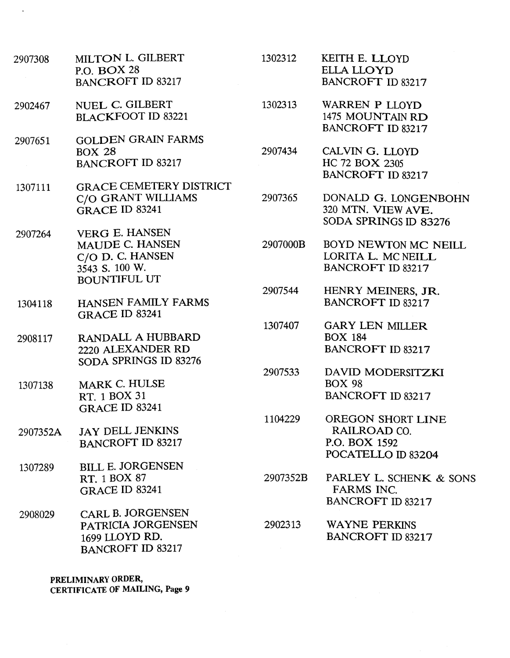- MILTON L. GILBERT 2907308 P.O. BOX 28 BANCROFT ID 83217
- NUEL *C.* GILBERT 2902467 BLACKFOOT ID 83221
- GOLDEN GRAIN FARMS 2907651 BOX 28 BANCROFT ID 83217
- GRACE CEMETERY DISTRICT 1307111 C/O GRANT WILLIAMS GRACE ID 83241
- VERG E. HANSEN 2907264 MAUDE C. HANSEN C/O D. C. HANSEN 3543 **S.** 100 w. BOUNTIFUL UT
- HANSEN FAMILY FARMS 1304118 GRACE ID 83241
- RANDALL A HUBBARD 2908117 2220 ALEXANDER RD SODA SPRINGS ID 83276
- MARK C. HULSE 1307138 RT. 1 BOX 31 GRACE ID 83241
- JAY DELL JENKINS 2907352A BANCROFT ID 83217
- BILL E. JORGENSEN 1307289 RT. 1 BOX 87 GRACE ID 83241
- CARL B. JORGENSEN 2908029 PATRICIA JORGENSEN 1699 LLOYD RD. BANCROFT ID 83217
- 1302312 KEITH E. LLOYD ELLA LLOYD BANCROFT ID 83217
- 1302313 WARREN P LLOYD 1475 MOUNTAIN RD BANCROFT ID 83217
- 2907434 CALVIN G. LLOYD HC 72 BOX 2305 BANCROFT ID 83217
- 2907365 DONALD G. LONGENBOHN 320 MTN. VIEW AVE. SODA SPRINGS ID **83276**
- 2907000B BOYD NEWTON MC NEILL LORITA L. MC NEILL BANCROFT ID 83217
- 2907544 HENRY MEINERS, JR.<br>BANCROFT ID 83217
- 1307407 GARY LEN MILLER BOX 184 BANCROFT ID 83217
- 2907533 DAVID MODERSITZKI BOX 98 BANCROFT ID 83217
- 1104229 OREGON SHORT LINE RAILROAD CO. P.O. BOX 1592 POCATELLO ID 83204
- 2907352B PARLEY L. SCHENK & SONS FARMS INC. BANCROFT ID 83217
- 2902313 WAYNE PERKINS BANCROFT ID 83217

**PRELIMINARY ORDER, CERTIFICATE OF MAILING, Page 9**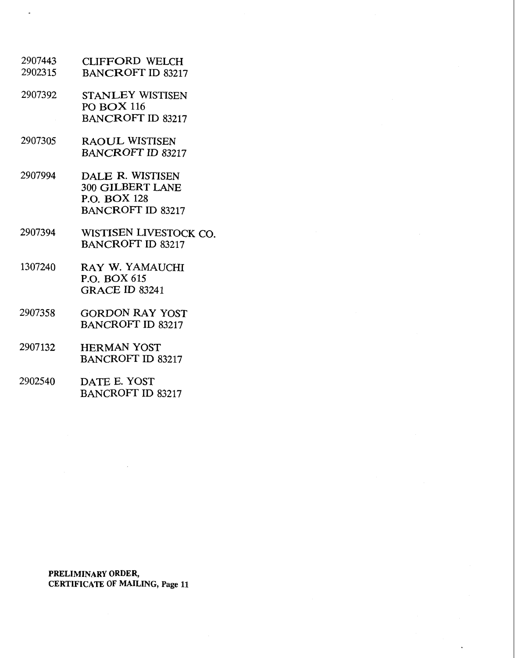- 2907443 CLIFFORD WELCH 2902315 BANCROFT ID 83217
- 2907392 STANLEY WISTISEN PO BOX 116 BANCROFT ID 83217
- 2907305 RAOUL WISTISEN **BANCROFT ID 83217**
- 2907994 DALE R. WISTISEN 300 GILBERT LANE P.O. BOX 128 BANCROFT ID 83217
- 2907394 WISTISEN LIVESTOCK CO. **BANCROFT ID 83217**
- 1307240 RAY W. YAMAUCHI P.O. BOX 615 GRACE ID 83241
- 2907358 GORDON RAY YOST BANCROFT ID 83217
- 2907132 HERMAN YOST BANCROFT ID 83217
- 2902540 DATE E. YOST **BANCROFT ID 83217**

**PRELIMINARY ORDER, CERTIFICATE OF MAILING, Page 11**